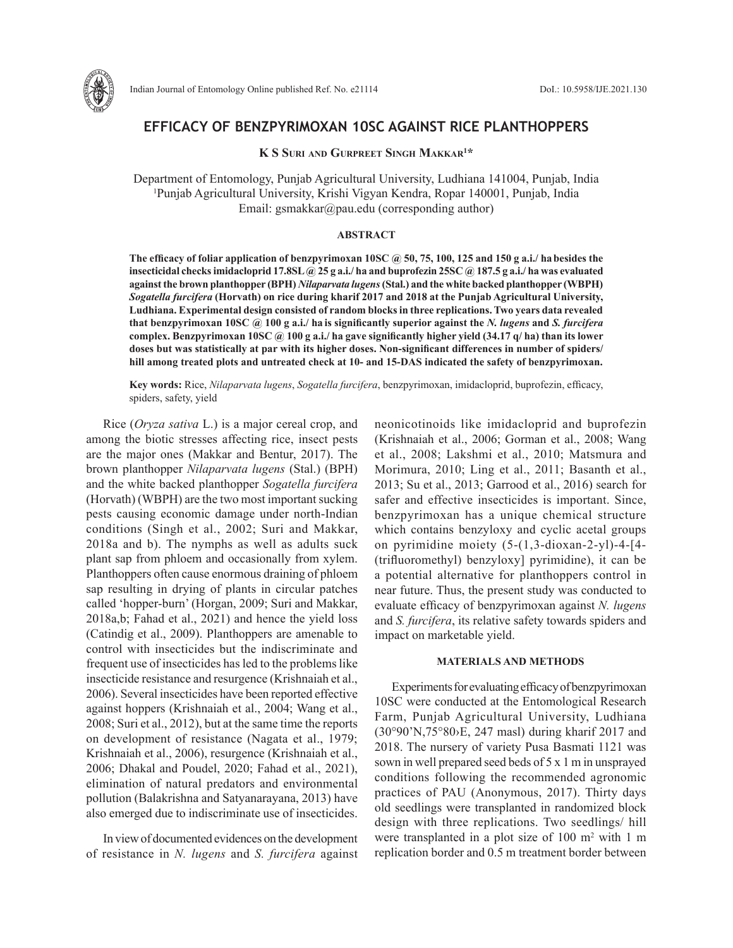

# **EFFICACY OF BENZPYRIMOXAN 10SC AGAINST RICE PLANTHOPPERS**

**K S Suri and Gurpreet Singh Makkar1 \***

Department of Entomology, Punjab Agricultural University, Ludhiana 141004, Punjab, India 1 Punjab Agricultural University, Krishi Vigyan Kendra, Ropar 140001, Punjab, India Email: gsmakkar@pau.edu (corresponding author)

#### **ABSTRACT**

**The efficacy of foliar application of benzpyrimoxan 10SC @ 50, 75, 100, 125 and 150 g a.i./ habesides the insecticidal checks imidacloprid 17.8SL @ 25 g a.i./ ha and buprofezin 25SC @ 187.5 g a.i./ ha was evaluated against the brown planthopper (BPH)** *Nilaparvata lugens* **(Stal.) and the white backed planthopper (WBPH)**  *Sogatella furcifera* **(Horvath) on rice during kharif 2017 and 2018 at the Punjab Agricultural University, Ludhiana. Experimental design consisted of random blocks in three replications. Two years data revealed that benzpyrimoxan 10SC @ 100 g a.i./ ha is significantly superior against the** *N. lugens* **and** *S. furcifera* **complex. Benzpyrimoxan 10SC @ 100 g a.i./ ha gave significantly higher yield (34.17 q/ ha) than its lower doses but was statistically at par with its higher doses. Non-significant differences in number of spiders/ hill among treated plots and untreated check at 10- and 15-DAS indicated the safety of benzpyrimoxan.**

**Key words:** Rice, *Nilaparvata lugens*, *Sogatella furcifera*, benzpyrimoxan, imidacloprid, buprofezin, efficacy, spiders, safety, yield

Rice (*Oryza sativa* L.) is a major cereal crop, and among the biotic stresses affecting rice, insect pests are the major ones (Makkar and Bentur, 2017). The brown planthopper *Nilaparvata lugens* (Stal.) (BPH) and the white backed planthopper *Sogatella furcifera* (Horvath) (WBPH) are the two most important sucking pests causing economic damage under north-Indian conditions (Singh et al., 2002; Suri and Makkar, 2018a and b). The nymphs as well as adults suck plant sap from phloem and occasionally from xylem. Planthoppers often cause enormous draining of phloem sap resulting in drying of plants in circular patches called 'hopper-burn' (Horgan, 2009; Suri and Makkar, 2018a,b; Fahad et al., 2021) and hence the yield loss (Catindig et al., 2009). Planthoppers are amenable to control with insecticides but the indiscriminate and frequent use of insecticides has led to the problems like insecticide resistance and resurgence (Krishnaiah et al., 2006). Several insecticides have been reported effective against hoppers (Krishnaiah et al., 2004; Wang et al., 2008; Suri et al., 2012), but at the same time the reports on development of resistance (Nagata et al., 1979; Krishnaiah et al., 2006), resurgence (Krishnaiah et al., 2006; Dhakal and Poudel, 2020; Fahad et al., 2021), elimination of natural predators and environmental pollution (Balakrishna and Satyanarayana, 2013) have also emerged due to indiscriminate use of insecticides.

In view of documented evidences on the development of resistance in *N. lugens* and *S. furcifera* against neonicotinoids like imidacloprid and buprofezin (Krishnaiah et al., 2006; Gorman et al., 2008; Wang et al., 2008; Lakshmi et al., 2010; Matsmura and Morimura, 2010; Ling et al., 2011; Basanth et al., 2013; Su et al., 2013; Garrood et al., 2016) search for safer and effective insecticides is important. Since, benzpyrimoxan has a unique chemical structure which contains benzyloxy and cyclic acetal groups on pyrimidine moiety (5-(1,3-dioxan-2-yl)-4-[4- (trifluoromethyl) benzyloxy] pyrimidine), it can be a potential alternative for planthoppers control in near future. Thus, the present study was conducted to evaluate efficacy of benzpyrimoxan against *N. lugens* and *S. furcifera*, its relative safety towards spiders and impact on marketable yield.

## **MATERIALS AND METHODS**

Experiments for evaluating efficacy of benzpyrimoxan 10SC were conducted at the Entomological Research Farm, Punjab Agricultural University, Ludhiana (30°90'N,75°80›E, 247 masl) during kharif 2017 and 2018. The nursery of variety Pusa Basmati 1121 was sown in well prepared seed beds of 5 x 1 m in unsprayed conditions following the recommended agronomic practices of PAU (Anonymous, 2017). Thirty days old seedlings were transplanted in randomized block design with three replications. Two seedlings/ hill were transplanted in a plot size of  $100 \text{ m}^2$  with 1 m replication border and 0.5 m treatment border between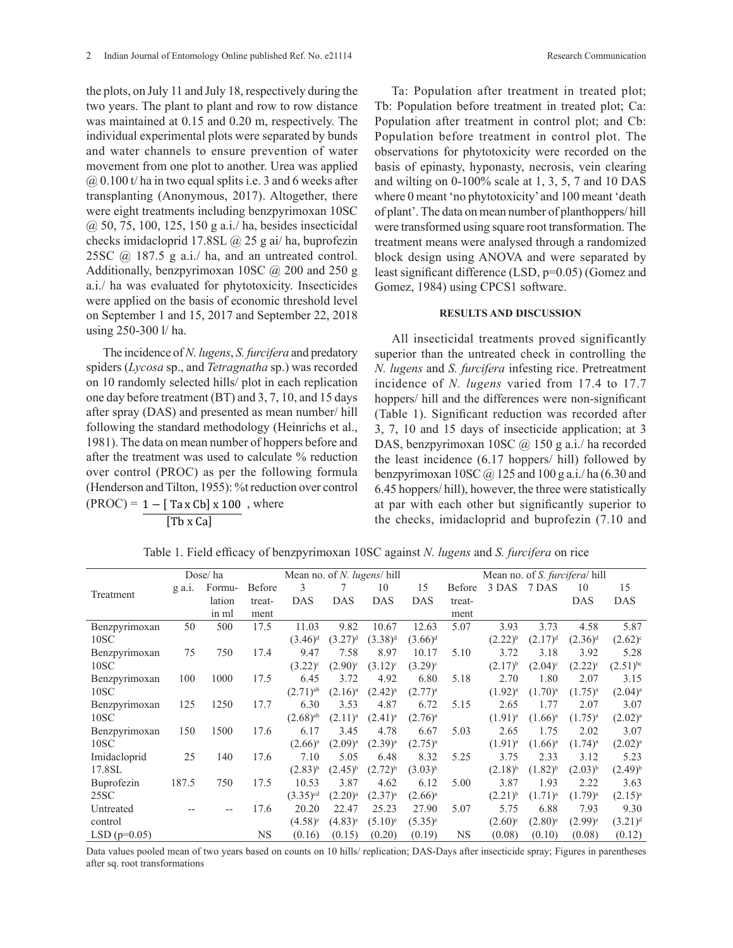the plots, on July 11 and July 18, respectively during the two years. The plant to plant and row to row distance was maintained at 0.15 and 0.20 m, respectively. The individual experimental plots were separated by bunds and water channels to ensure prevention of water movement from one plot to another. Urea was applied  $\omega(0.100 t)$  ha in two equal splits i.e. 3 and 6 weeks after transplanting (Anonymous, 2017). Altogether, there were eight treatments including benzpyrimoxan 10SC @ 50, 75, 100, 125, 150 g a.i./ ha, besides insecticidal checks imidacloprid 17.8SL @ 25 g ai/ ha, buprofezin 25SC  $(a)$  187.5 g a.i./ ha, and an untreated control. Additionally, benzpyrimoxan 10SC  $\omega$  200 and 250 g a.i./ ha was evaluated for phytotoxicity. Insecticides were applied on the basis of economic threshold level on September 1 and 15, 2017 and September 22, 2018 using 250-300 l/ ha.

The incidence of *N. lugens*, *S. furcifera* and predatory spiders (*Lycosa* sp., and *Tetragnatha* sp.) was recorded on 10 randomly selected hills/ plot in each replication one day before treatment (BT) and 3, 7, 10, and 15 days after spray (DAS) and presented as mean number/ hill following the standard methodology (Heinrichs et al., 1981). The data on mean number of hoppers before and after the treatment was used to calculate % reduction over control (PROC) as per the following formula (Henderson and Tilton, 1955): %t reduction over control  $(PROC) = 1 - [ TaxCb] \times 100$ , where

[Tb x Ca]

Ta: Population after treatment in treated plot; Tb: Population before treatment in treated plot; Ca: Population after treatment in control plot; and Cb: Population before treatment in control plot. The observations for phytotoxicity were recorded on the basis of epinasty, hyponasty, necrosis, vein clearing and wilting on 0-100% scale at 1, 3, 5, 7 and 10 DAS where 0 meant 'no phytotoxicity' and 100 meant 'death of plant'. The data on mean number of planthoppers/ hill were transformed using square root transformation. The treatment means were analysed through a randomized block design using ANOVA and were separated by least significant difference (LSD, p=0.05) (Gomez and Gomez, 1984) using CPCS1 software.

#### **RESULTS AND DISCUSSION**

All insecticidal treatments proved significantly superior than the untreated check in controlling the *N. lugens* and *S. furcifera* infesting rice. Pretreatment incidence of *N. lugens* varied from 17.4 to 17.7 hoppers/ hill and the differences were non-significant (Table 1). Significant reduction was recorded after 3, 7, 10 and 15 days of insecticide application; at 3 DAS, benzpyrimoxan 10SC @ 150 g a.i./ ha recorded the least incidence (6.17 hoppers/ hill) followed by benzpyrimoxan 10SC  $\omega$  125 and 100 g a.i./ ha (6.30 and 6.45 hoppers/ hill), however, the three were statistically at par with each other but significantly superior to the checks, imidacloprid and buprofezin (7.10 and

|                    | Dose/ha |        |               | Mean no. of N. lugens/ hill |              |              |              | Mean no. of <i>S. furcifera</i> hill |                  |                       |                  |               |
|--------------------|---------|--------|---------------|-----------------------------|--------------|--------------|--------------|--------------------------------------|------------------|-----------------------|------------------|---------------|
| Treatment          | g a.1.  | Formu- | <b>Before</b> | 3                           |              | 10           | 15           | Before                               | 3 DAS 7 DAS      |                       | 10               | 15            |
|                    |         | lation | treat-        | <b>DAS</b>                  | <b>DAS</b>   | <b>DAS</b>   | <b>DAS</b>   | treat-                               |                  |                       | <b>DAS</b>       | <b>DAS</b>    |
|                    |         | in ml  | ment          |                             |              |              |              | ment                                 |                  |                       |                  |               |
| Benzpyrimoxan      | 50      | 500    | 17.5          | 11.03                       | 9.82         | 10.67        | 12.63        | 5.07                                 | 3.93             | 3.73                  | 4.58             | 5.87          |
| 10SC               |         |        |               | $(3.46)^d$                  | $(3.27)^d$   | $(3.38)^d$   | $(3.66)^d$   |                                      | $(2.22)^{b}$     | $(2.17)^d$            | $(2.36)^d$       | $(2.62)^c$    |
| Benzpyrimoxan      | 75      | 750    | 17.4          | 9.47                        | 7.58         | 8.97         | 10.17        | 5.10                                 | 3.72             | 3.18                  | 3.92             | 5.28          |
| 10SC               |         |        |               | $(3.22)^c$                  | $(2.90)^c$   | $(3.12)^c$   | $(3.29)^c$   |                                      | $(2.17)^{b}$     | $(2.04)^c$            | $(2.22)^{\circ}$ | $(2.51)^{bc}$ |
| Benzpyrimoxan      | 100     | 1000   | 17.5          | 6.45                        | 3.72         | 4.92         | 6.80         | 5.18                                 | 2.70             | 1.80                  | 2.07             | 3.15          |
| 10SC               |         |        |               | $(2.71)$ <sup>ab</sup>      | $(2.16)^{a}$ | $(2.42)^{a}$ | $(2.77)^{a}$ |                                      | $(1.92)^{a}$     | $(1.70)^a$            | $(1.75)^{a}$     | $(2.04)^{a}$  |
| Benzpyrimoxan      | 125     | 1250   | 17.7          | 6.30                        | 3.53         | 4.87         | 6.72         | 5.15                                 | 2.65             | 1.77                  | 2.07             | 3.07          |
| 10SC               |         |        |               | $(2.68)$ <sup>ab</sup>      | $(2.11)^{a}$ | $(2.41)^{a}$ | $(2.76)^{a}$ |                                      | $(1.91)^{a}$     | $(1.66)^{a}$          | $(1.75)^{a}$     | $(2.02)^{a}$  |
| Benzpyrimoxan      | 150     | 1500   | 17.6          | 6.17                        | 3.45         | 4.78         | 6.67         | 5.03                                 | 2.65             | 1.75                  | 2.02             | 3.07          |
| 10SC               |         |        |               | $(2.66)^{a}$                | $(2.09)^{a}$ | $(2.39)^{a}$ | $(2.75)^{a}$ |                                      | $(1.91)^{a}$     | $(1.66)^a$            | $(1.74)^a$       | $(2.02)^{a}$  |
| Imidacloprid       | 25      | 140    | 17.6          | 7.10                        | 5.05         | 6.48         | 8.32         | 5.25                                 | 3.75             | 2.33                  | 3.12             | 5.23          |
| 17.8SL             |         |        |               | $(2.83)^{b}$                | $(2.45)^{b}$ | $(2.72)^{b}$ | $(3.03)^{b}$ |                                      | $(2.18)^{b}$     | $(1.82)^{b}$          | $(2.03)^{b}$     | $(2.49)^{b}$  |
| Buprofezin         | 187.5   | 750    | 17.5          | 10.53                       | 3.87         | 4.62         | 6.12         | 5.00                                 | 3.87             | 1.93                  | 2.22             | 3.63          |
| 25SC               |         |        |               | $(3.35)$ <sup>cd</sup>      | $(2.20)^a$   | $(2.37)^{a}$ | $(2.66)^{a}$ |                                      | $(2.21)^{b}$     | $(1.71)^{a}$          | $(1.79)^{a}$     | $(2.15)^{a}$  |
| Untreated          |         |        | 17.6          | 20.20                       | 22.47        | 25.23        | 27.90        | 5.07                                 | 5.75             | 6.88                  | 7.93             | 9.30          |
| control            |         |        |               | $(4.58)^e$                  | $(4.83)^e$   | $(5.10)^e$   | $(5.35)^e$   |                                      | $(2.60)^{\circ}$ | $(2.80)$ <sup>e</sup> | $(2.99)^e$       | $(3.21)^d$    |
| $LSD$ ( $p=0.05$ ) |         |        | <b>NS</b>     | (0.16)                      | (0.15)       | (0.20)       | (0.19)       | NS                                   | (0.08)           | (0.10)                | (0.08)           | (0.12)        |

Table 1. Field efficacy of benzpyrimoxan 10SC against *N. lugens* and *S. furcifera* on rice

Data values pooled mean of two years based on counts on 10 hills/ replication; DAS-Days after insecticide spray; Figures in parentheses after sq. root transformations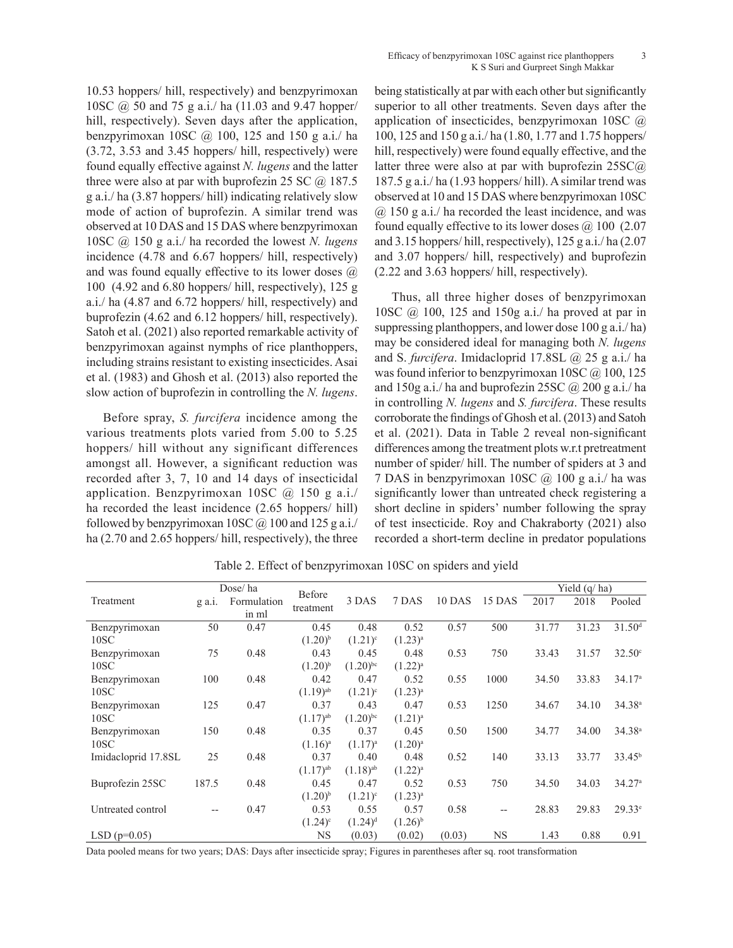10.53 hoppers/ hill, respectively) and benzpyrimoxan 10SC @ 50 and 75 g a.i./ ha (11.03 and 9.47 hopper/ hill, respectively). Seven days after the application, benzpyrimoxan 10SC @ 100, 125 and 150 g a.i./ ha (3.72, 3.53 and 3.45 hoppers/ hill, respectively) were found equally effective against *N. lugens* and the latter three were also at par with buprofezin 25 SC  $\omega$  187.5 g a.i./ ha (3.87 hoppers/ hill) indicating relatively slow mode of action of buprofezin. A similar trend was observed at 10 DAS and 15 DAS where benzpyrimoxan 10SC @ 150 g a.i./ ha recorded the lowest *N. lugens* incidence (4.78 and 6.67 hoppers/ hill, respectively) and was found equally effective to its lower doses  $\omega$ 100 (4.92 and 6.80 hoppers/ hill, respectively), 125 g a.i./ ha (4.87 and 6.72 hoppers/ hill, respectively) and buprofezin (4.62 and 6.12 hoppers/ hill, respectively). Satoh et al. (2021) also reported remarkable activity of benzpyrimoxan against nymphs of rice planthoppers, including strains resistant to existing insecticides. Asai et al. (1983) and Ghosh et al. (2013) also reported the slow action of buprofezin in controlling the *N. lugens*.

Before spray, *S. furcifera* incidence among the various treatments plots varied from 5.00 to 5.25 hoppers/ hill without any significant differences amongst all. However, a significant reduction was recorded after 3, 7, 10 and 14 days of insecticidal application. Benzpyrimoxan 10SC @ 150 g a.i./ ha recorded the least incidence (2.65 hoppers/ hill) followed by benzpyrimoxan 10SC  $\omega$  100 and 125 g a.i. ha (2.70 and 2.65 hoppers/ hill, respectively), the three being statistically at par with each other but significantly superior to all other treatments. Seven days after the application of insecticides, benzpyrimoxan 10SC @ 100, 125 and 150 g a.i./ ha (1.80, 1.77 and 1.75 hoppers/ hill, respectively) were found equally effective, and the latter three were also at par with buprofezin 25SC@ 187.5 g a.i./ ha (1.93 hoppers/ hill). A similar trend was observed at 10 and 15 DAS where benzpyrimoxan 10SC @ 150 g a.i./ ha recorded the least incidence, and was found equally effective to its lower doses  $\omega$  100 (2.07) and 3.15 hoppers/ hill, respectively), 125 g a.i./ ha (2.07 and 3.07 hoppers/ hill, respectively) and buprofezin (2.22 and 3.63 hoppers/ hill, respectively).

Thus, all three higher doses of benzpyrimoxan 10SC @ 100, 125 and 150g a.i./ ha proved at par in suppressing planthoppers, and lower dose 100 g a.i./ ha) may be considered ideal for managing both *N. lugens* and S. *furcifera*. Imidacloprid 17.8SL @ 25 g a.i./ ha was found inferior to benzpyrimoxan  $10SC$   $@$ ,  $100$ ,  $125$ and 150g a.i./ ha and buprofezin 25SC  $\omega$  200 g a.i./ ha in controlling *N. lugens* and *S. furcifera*. These results corroborate the findings of Ghosh et al. (2013) and Satoh et al. (2021). Data in Table 2 reveal non-significant differences among the treatment plots w.r.t pretreatment number of spider/ hill. The number of spiders at 3 and 7 DAS in benzpyrimoxan 10SC @ 100 g a.i./ ha was significantly lower than untreated check registering a short decline in spiders' number following the spray of test insecticide. Roy and Chakraborty (2021) also recorded a short-term decline in predator populations

|                     | Dose/ha  |             | Before                 |                        |              |        |           | Yield $(q/ha)$ |       |                    |
|---------------------|----------|-------------|------------------------|------------------------|--------------|--------|-----------|----------------|-------|--------------------|
| Treatment           | $g$ a.i. | Formulation | treatment              | 3 DAS                  | 7 DAS        | 10 DAS | 15 DAS    | 2017           | 2018  | Pooled             |
|                     |          | in ml       |                        |                        |              |        |           |                |       |                    |
| Benzpyrimoxan       | 50       | 0.47        | 0.45                   | 0.48                   | 0.52         | 0.57   | 500       | 31.77          | 31.23 | 31.50 <sup>d</sup> |
| 10SC                |          |             | $(1.20)^{b}$           | $(1.21)^c$             | $(1.23)^{a}$ |        |           |                |       |                    |
| Benzpyrimoxan       | 75       | 0.48        | 0.43                   | 0.45                   | 0.48         | 0.53   | 750       | 33.43          | 31.57 | $32.50^{\circ}$    |
| 10SC                |          |             | $(1.20)^{b}$           | $(1.20)^{bc}$          | $(1.22)^{a}$ |        |           |                |       |                    |
| Benzpyrimoxan       | 100      | 0.48        | 0.42                   | 0.47                   | 0.52         | 0.55   | 1000      | 34.50          | 33.83 | 34.17 <sup>a</sup> |
| 10SC                |          |             | $(1.19)$ <sup>ab</sup> | $(1.21)^c$             | $(1.23)^{a}$ |        |           |                |       |                    |
| Benzpyrimoxan       | 125      | 0.47        | 0.37                   | 0.43                   | 0.47         | 0.53   | 1250      | 34.67          | 34.10 | 34.38 <sup>a</sup> |
| 10SC                |          |             | $(1.17)$ <sup>ab</sup> | $(1.20)^{bc}$          | $(1.21)^{a}$ |        |           |                |       |                    |
| Benzpyrimoxan       | 150      | 0.48        | 0.35                   | 0.37                   | 0.45         | 0.50   | 1500      | 34.77          | 34.00 | 34.38 <sup>a</sup> |
| 10SC                |          |             | $(1.16)^a$             | $(1.17)^{a}$           | $(1.20)^a$   |        |           |                |       |                    |
| Imidacloprid 17.8SL | 25       | 0.48        | 0.37                   | 0.40                   | 0.48         | 0.52   | 140       | 33.13          | 33.77 | 33.45 <sup>b</sup> |
|                     |          |             | $(1.17)$ <sup>ab</sup> | $(1.18)$ <sup>ab</sup> | $(1.22)^{a}$ |        |           |                |       |                    |
| Buprofezin 25SC     | 187.5    | 0.48        | 0.45                   | 0.47                   | 0.52         | 0.53   | 750       | 34.50          | 34.03 | 34.27 <sup>a</sup> |
|                     |          |             | $(1.20)^{b}$           | $(1.21)^c$             | $(1.23)^{a}$ |        |           |                |       |                    |
| Untreated control   |          | 0.47        | 0.53                   | 0.55                   | 0.57         | 0.58   | --        | 28.83          | 29.83 | $29.33^e$          |
|                     |          |             | $(1.24)^c$             | $(1.24)^d$             | $(1.26)^{b}$ |        |           |                |       |                    |
| $LSD(p=0.05)$       |          |             | NS                     | (0.03)                 | (0.02)       | (0.03) | <b>NS</b> | 1.43           | 0.88  | 0.91               |

Table 2. Effect of benzpyrimoxan 10SC on spiders and yield

Data pooled means for two years; DAS: Days after insecticide spray; Figures in parentheses after sq. root transformation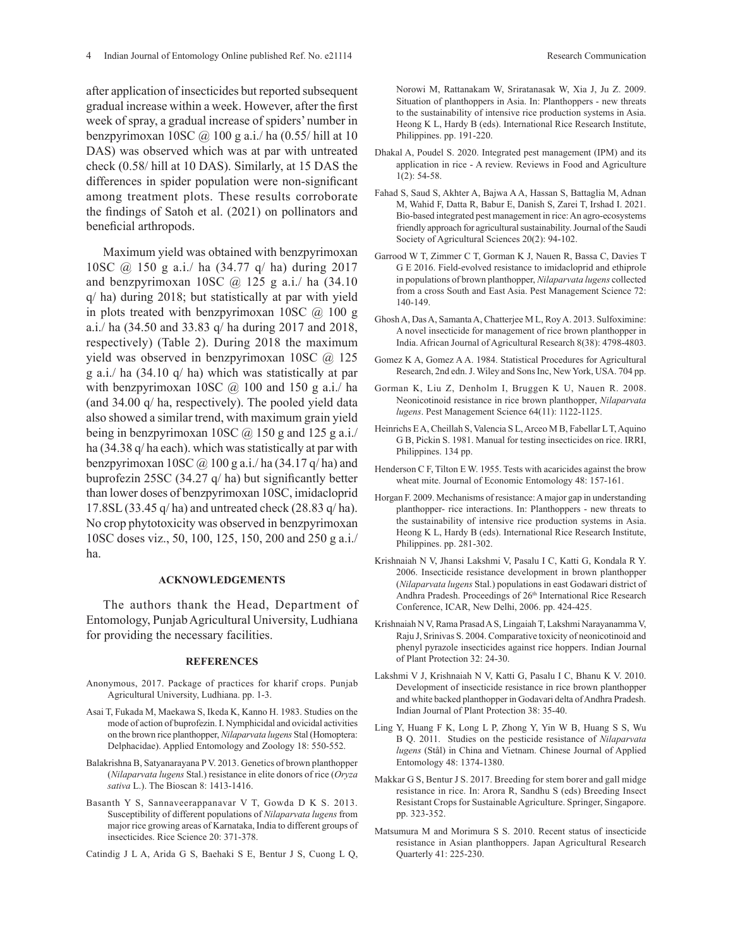after application of insecticides but reported subsequent gradual increase within a week. However, after the first week of spray, a gradual increase of spiders' number in benzpyrimoxan 10SC @ 100 g a.i./ ha (0.55/ hill at 10 DAS) was observed which was at par with untreated check (0.58/ hill at 10 DAS). Similarly, at 15 DAS the differences in spider population were non-significant among treatment plots. These results corroborate the findings of Satoh et al. (2021) on pollinators and beneficial arthropods.

Maximum yield was obtained with benzpyrimoxan 10SC @ 150 g a.i./ ha (34.77 q/ ha) during 2017 and benzpyrimoxan 10SC  $\omega$  125 g a.i./ ha (34.10) q/ ha) during 2018; but statistically at par with yield in plots treated with benzpyrimoxan 10SC  $\omega$  100 g a.i./ ha (34.50 and 33.83 q/ ha during 2017 and 2018, respectively) (Table 2). During 2018 the maximum yield was observed in benzpyrimoxan 10SC @ 125 g a.i./ ha (34.10 q/ ha) which was statistically at par with benzpyrimoxan 10SC  $\omega$  100 and 150 g a.i./ ha (and 34.00 q/ ha, respectively). The pooled yield data also showed a similar trend, with maximum grain yield being in benzpyrimoxan 10SC  $\omega$  150 g and 125 g a.i./ ha (34.38 q/ ha each). which was statistically at par with benzpyrimoxan 10SC  $\omega$  100 g a.i./ ha (34.17 q/ ha) and buprofezin 25SC (34.27 q/ ha) but significantly better than lower doses of benzpyrimoxan 10SC, imidacloprid 17.8SL (33.45 q/ ha) and untreated check (28.83 q/ ha). No crop phytotoxicity was observed in benzpyrimoxan 10SC doses viz., 50, 100, 125, 150, 200 and 250 g a.i./ ha.

### **ACKNOWLEDGEMENTS**

The authors thank the Head, Department of Entomology, Punjab Agricultural University, Ludhiana for providing the necessary facilities.

#### **REFERENCES**

- Anonymous, 2017. Package of practices for kharif crops. Punjab Agricultural University, Ludhiana. pp. 1-3.
- Asai T, Fukada M, Maekawa S, Ikeda K, Kanno H. 1983. Studies on the mode of action of buprofezin. I. Nymphicidal and ovicidal activities on the brown rice planthopper, *Nilaparvata lugens* Stal (Homoptera: Delphacidae). Applied Entomology and Zoology 18: 550-552.
- Balakrishna B, Satyanarayana P V. 2013. Genetics of brown planthopper (*Nilaparvata lugens* Stal.) resistance in elite donors of rice (*Oryza sativa* L.). The Bioscan 8: 1413-1416.
- Basanth Y S, Sannaveerappanavar V T, Gowda D K S. 2013. Susceptibility of different populations of *Nilaparvata lugens* from major rice growing areas of Karnataka, India to different groups of insecticides. Rice Science 20: 371-378.
- Catindig J L A, Arida G S, Baehaki S E, Bentur J S, Cuong L Q,

Norowi M, Rattanakam W, Sriratanasak W, Xia J, Ju Z. 2009. Situation of planthoppers in Asia. In: Planthoppers - new threats to the sustainability of intensive rice production systems in Asia. Heong K L, Hardy B (eds). International Rice Research Institute, Philippines. pp. 191-220.

- Dhakal A, Poudel S. 2020. Integrated pest management (IPM) and its application in rice - A review. Reviews in Food and Agriculture 1(2): 54-58.
- Fahad S, Saud S, Akhter A, Bajwa A A, Hassan S, Battaglia M, Adnan M, Wahid F, Datta R, Babur E, Danish S, Zarei T, Irshad I. 2021. Bio-based integrated pest management in rice: An agro-ecosystems friendly approach for agricultural sustainability. Journal of the Saudi Society of Agricultural Sciences 20(2): 94-102.
- Garrood W T, Zimmer C T, Gorman K J, Nauen R, Bassa C, Davies T G E 2016. Field-evolved resistance to imidacloprid and ethiprole in populations of brown planthopper, *Nilaparvata lugens* collected from a cross South and East Asia. Pest Management Science 72: 140-149.
- Ghosh A, Das A, Samanta A, Chatterjee M L, Roy A. 2013. Sulfoximine: A novel insecticide for management of rice brown planthopper in India. African Journal of Agricultural Research 8(38): 4798-4803.
- Gomez K A, Gomez A A. 1984. Statistical Procedures for Agricultural Research, 2nd edn. J. Wiley and Sons Inc, New York, USA. 704 pp.
- Gorman K, Liu Z, Denholm I, Bruggen K U, Nauen R. 2008. Neonicotinoid resistance in rice brown planthopper, *Nilaparvata lugens*. Pest Management Science 64(11): 1122-1125.
- Heinrichs E A, Cheillah S, Valencia S L, Arceo M B, Fabellar L T, Aquino G B, Pickin S. 1981. Manual for testing insecticides on rice. IRRI, Philippines. 134 pp.
- Henderson C F, Tilton E W. 1955. Tests with acaricides against the brow wheat mite. Journal of Economic Entomology 48: 157-161.
- Horgan F. 2009. Mechanisms of resistance: A major gap in understanding planthopper- rice interactions. In: Planthoppers - new threats to the sustainability of intensive rice production systems in Asia. Heong K L, Hardy B (eds). International Rice Research Institute, Philippines. pp. 281-302.
- Krishnaiah N V, Jhansi Lakshmi V, Pasalu I C, Katti G, Kondala R Y. 2006. Insecticide resistance development in brown planthopper (*Nilaparvata lugens* Stal.) populations in east Godawari district of Andhra Pradesh. Proceedings of 26<sup>th</sup> International Rice Research Conference, ICAR, New Delhi, 2006. pp. 424-425.
- Krishnaiah N V, Rama Prasad A S, Lingaiah T, Lakshmi Narayanamma V, Raju J, Srinivas S. 2004. Comparative toxicity of neonicotinoid and phenyl pyrazole insecticides against rice hoppers. Indian Journal of Plant Protection 32: 24-30.
- Lakshmi V J, Krishnaiah N V, Katti G, Pasalu I C, Bhanu K V. 2010. Development of insecticide resistance in rice brown planthopper and white backed planthopper in Godavari delta of Andhra Pradesh. Indian Journal of Plant Protection 38: 35-40.
- Ling Y, Huang F K, Long L P, Zhong Y, Yin W B, Huang S S, Wu B Q. 2011. Studies on the pesticide resistance of *Nilaparvata lugens* (Stål) in China and Vietnam. Chinese Journal of Applied Entomology 48: 1374-1380.
- Makkar G S, Bentur J S. 2017. Breeding for stem borer and gall midge resistance in rice. In: Arora R, Sandhu S (eds) Breeding Insect Resistant Crops for Sustainable Agriculture. Springer, Singapore. pp. 323-352.
- Matsumura M and Morimura S S. 2010. Recent status of insecticide resistance in Asian planthoppers. Japan Agricultural Research Quarterly 41: 225-230.